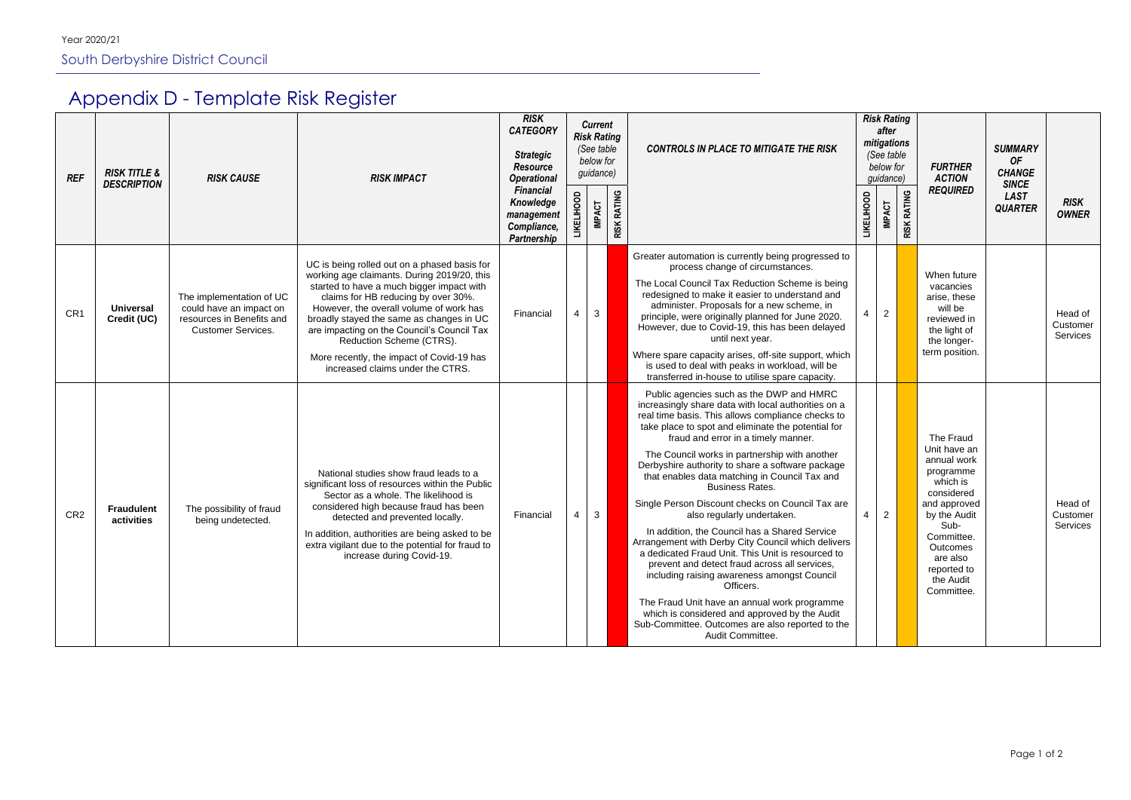## Appendix D - Template Risk Register

| <b>REF</b>      | <b>RISK TITLE &amp;</b><br><b>DESCRIPTION</b> | <b>RISK CAUSE</b>                                                                                             | <b>RISK IMPACT</b>                                                                                                                                                                                                                                                                                                                                                                                                                | <b>RISK</b><br><b>CATEGORY</b><br><b>Strategic</b><br><b>Resource</b><br><b>Operational</b><br><b>Financial</b><br>Knowledge<br>management<br>Compliance,<br>Partnership | <b>Current</b><br><b>Risk Rating</b><br>(See table<br>below for<br>guidance) |               |                    | <b>CONTROLS IN PLACE TO MITIGATE THE RISK</b>                                                                                                                                                                                                                                                                                                                                                                                                                                                                                                                                                                                                                                                                                                                                                                                                                                                                                                                         |                   | <b>Risk Rating</b><br>after<br>mitigations<br>(See table<br>below for<br>guidance) |                                               | <b>FURTHER</b><br><b>ACTION</b>                                                                                                                                                                                | <b>SUMMARY</b><br><b>OF</b><br><b>CHANGE</b> |                                 |
|-----------------|-----------------------------------------------|---------------------------------------------------------------------------------------------------------------|-----------------------------------------------------------------------------------------------------------------------------------------------------------------------------------------------------------------------------------------------------------------------------------------------------------------------------------------------------------------------------------------------------------------------------------|--------------------------------------------------------------------------------------------------------------------------------------------------------------------------|------------------------------------------------------------------------------|---------------|--------------------|-----------------------------------------------------------------------------------------------------------------------------------------------------------------------------------------------------------------------------------------------------------------------------------------------------------------------------------------------------------------------------------------------------------------------------------------------------------------------------------------------------------------------------------------------------------------------------------------------------------------------------------------------------------------------------------------------------------------------------------------------------------------------------------------------------------------------------------------------------------------------------------------------------------------------------------------------------------------------|-------------------|------------------------------------------------------------------------------------|-----------------------------------------------|----------------------------------------------------------------------------------------------------------------------------------------------------------------------------------------------------------------|----------------------------------------------|---------------------------------|
|                 |                                               |                                                                                                               |                                                                                                                                                                                                                                                                                                                                                                                                                                   |                                                                                                                                                                          | <b>LIKELIHOOD</b>                                                            | <b>IMPACT</b> | <b>RISK RATING</b> |                                                                                                                                                                                                                                                                                                                                                                                                                                                                                                                                                                                                                                                                                                                                                                                                                                                                                                                                                                       | <b>LIKELIHOOD</b> | <b>REQUIRED</b><br><b>RISK RATING</b><br><b>IMPACT</b>                             | <b>SINCE</b><br><b>LAST</b><br><b>QUARTER</b> | <b>RISK</b><br><b>OWNER</b>                                                                                                                                                                                    |                                              |                                 |
| CR <sub>1</sub> | <b>Universal</b><br>Credit (UC)               | The implementation of UC<br>could have an impact on<br>resources in Benefits and<br><b>Customer Services.</b> | UC is being rolled out on a phased basis for<br>working age claimants. During 2019/20, this<br>started to have a much bigger impact with<br>claims for HB reducing by over 30%.<br>However, the overall volume of work has<br>broadly stayed the same as changes in UC<br>are impacting on the Council's Council Tax<br>Reduction Scheme (CTRS).<br>More recently, the impact of Covid-19 has<br>increased claims under the CTRS. | Financial                                                                                                                                                                | 4                                                                            | $\mathbf{3}$  |                    | Greater automation is currently being progressed to<br>process change of circumstances.<br>The Local Council Tax Reduction Scheme is being<br>redesigned to make it easier to understand and<br>administer. Proposals for a new scheme, in<br>principle, were originally planned for June 2020.<br>However, due to Covid-19, this has been delayed<br>until next year.<br>Where spare capacity arises, off-site support, which<br>is used to deal with peaks in workload, will be<br>transferred in-house to utilise spare capacity.                                                                                                                                                                                                                                                                                                                                                                                                                                  |                   | $\overline{2}$                                                                     |                                               | When future<br>vacancies<br>arise, these<br>will be<br>reviewed in<br>the light of<br>the longer-<br>term position.                                                                                            |                                              | Head of<br>Customer<br>Services |
| CR <sub>2</sub> | <b>Fraudulent</b><br>activities               | The possibility of fraud<br>being undetected.                                                                 | National studies show fraud leads to a<br>significant loss of resources within the Public<br>Sector as a whole. The likelihood is<br>considered high because fraud has been<br>detected and prevented locally.<br>In addition, authorities are being asked to be<br>extra vigilant due to the potential for fraud to<br>increase during Covid-19.                                                                                 | Financial                                                                                                                                                                | -4                                                                           | $\mathbf{3}$  |                    | Public agencies such as the DWP and HMRC<br>increasingly share data with local authorities on a<br>real time basis. This allows compliance checks to<br>take place to spot and eliminate the potential for<br>fraud and error in a timely manner.<br>The Council works in partnership with another<br>Derbyshire authority to share a software package<br>that enables data matching in Council Tax and<br><b>Business Rates.</b><br>Single Person Discount checks on Council Tax are<br>also regularly undertaken.<br>In addition, the Council has a Shared Service<br>Arrangement with Derby City Council which delivers<br>a dedicated Fraud Unit. This Unit is resourced to<br>prevent and detect fraud across all services,<br>including raising awareness amongst Council<br>Officers.<br>The Fraud Unit have an annual work programme<br>which is considered and approved by the Audit<br>Sub-Committee. Outcomes are also reported to the<br>Audit Committee. | 4                 | $\overline{2}$                                                                     |                                               | The Fraud<br>Unit have an<br>annual work<br>programme<br>which is<br>considered<br>and approved<br>by the Audit<br>Sub-<br>Committee.<br><b>Outcomes</b><br>are also<br>reported to<br>the Audit<br>Committee. |                                              | Head of<br>Customer<br>Services |